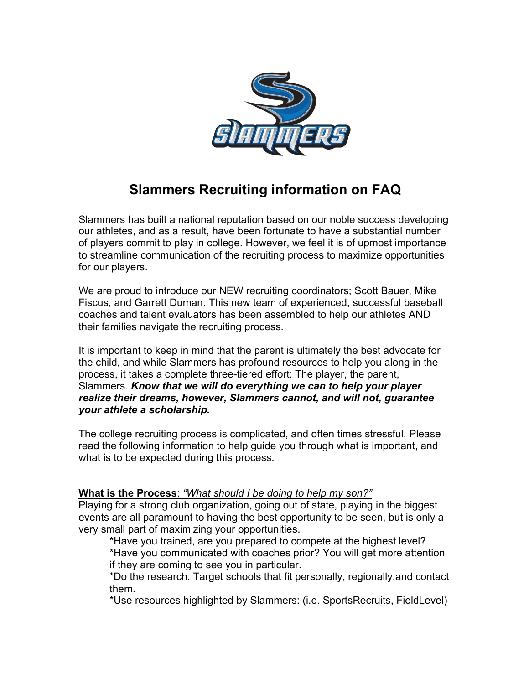

## **Slammers Recruiting information on FAQ**

Slammers has built a national reputation based on our noble success developing our athletes, and as a result, have been fortunate to have a substantial number of players commit to play in college. However, we feel it is of upmost importance to streamline communication of the recruiting process to maximize opportunities for our players.

We are proud to introduce our NEW recruiting coordinators; Scott Bauer, Mike Fiscus, and Garrett Duman. This new team of experienced, successful baseball coaches and talent evaluators has been assembled to help our athletes AND their families navigate the recruiting process.

It is important to keep in mind that the parent is ultimately the best advocate for the child, and while Slammers has profound resources to help you along in the process, it takes a complete three-tiered effort: The player, the parent, Slammers. *Know that we will do everything we can to help your player realize their dreams, however, Slammers cannot, and will not, guarantee your athlete a scholarship.*

The college recruiting process is complicated, and often times stressful. Please read the following information to help guide you through what is important, and what is to be expected during this process.

## **What is the Process**: *"What should I be doing to help my son?"*

Playing for a strong club organization, going out of state, playing in the biggest events are all paramount to having the best opportunity to be seen, but is only a very small part of maximizing your opportunities.

\*Have you trained, are you prepared to compete at the highest level? \*Have you communicated with coaches prior? You will get more attention if they are coming to see you in particular.

\*Do the research. Target schools that fit personally, regionally,and contact them.

\*Use resources highlighted by Slammers: (i.e. SportsRecruits, FieldLevel)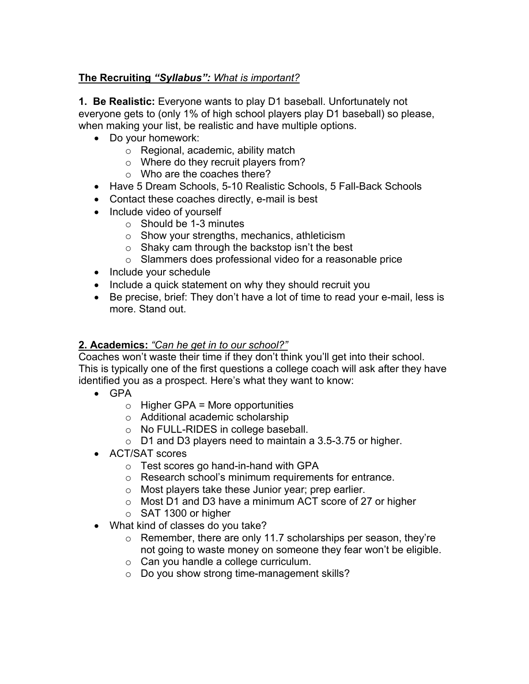## **The Recruiting** *"Syllabus": What is important?*

**1. Be Realistic:** Everyone wants to play D1 baseball. Unfortunately not everyone gets to (only 1% of high school players play D1 baseball) so please, when making your list, be realistic and have multiple options.

- Do your homework:
	- o Regional, academic, ability match
	- o Where do they recruit players from?
	- o Who are the coaches there?
- Have 5 Dream Schools, 5-10 Realistic Schools, 5 Fall-Back Schools
- Contact these coaches directly, e-mail is best
- Include video of yourself
	- o Should be 1-3 minutes
	- o Show your strengths, mechanics, athleticism
	- o Shaky cam through the backstop isn't the best
	- o Slammers does professional video for a reasonable price
- Include your schedule
- Include a quick statement on why they should recruit you
- Be precise, brief: They don't have a lot of time to read your e-mail, less is more. Stand out.

## **2. Academics:** *"Can he get in to our school?"*

Coaches won't waste their time if they don't think you'll get into their school. This is typically one of the first questions a college coach will ask after they have identified you as a prospect. Here's what they want to know:

- GPA
	- $\circ$  Higher GPA = More opportunities
	- o Additional academic scholarship
	- o No FULL-RIDES in college baseball.
	- o D1 and D3 players need to maintain a 3.5-3.75 or higher.
- ACT/SAT scores
	- o Test scores go hand-in-hand with GPA
	- o Research school's minimum requirements for entrance.
	- o Most players take these Junior year; prep earlier.
	- o Most D1 and D3 have a minimum ACT score of 27 or higher
	- o SAT 1300 or higher
- What kind of classes do you take?
	- o Remember, there are only 11.7 scholarships per season, they're not going to waste money on someone they fear won't be eligible.
	- o Can you handle a college curriculum.
	- o Do you show strong time-management skills?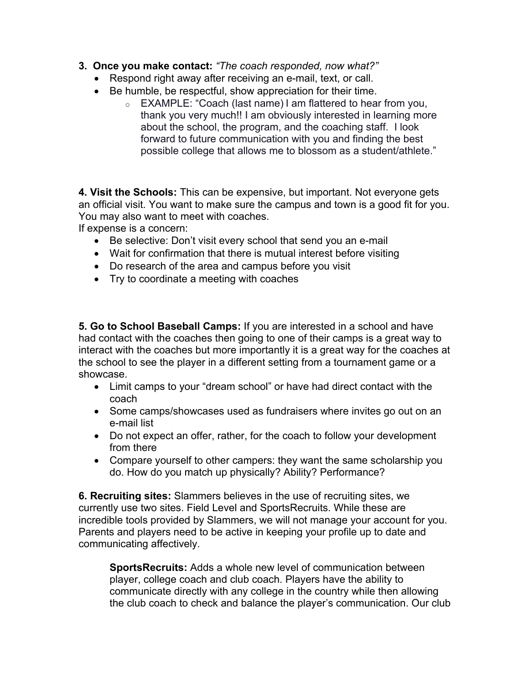- **3. Once you make contact:** *"The coach responded, now what?"*
	- Respond right away after receiving an e-mail, text, or call.
	- Be humble, be respectful, show appreciation for their time.
		- o EXAMPLE: "Coach (last name) I am flattered to hear from you, thank you very much!! I am obviously interested in learning more about the school, the program, and the coaching staff. I look forward to future communication with you and finding the best possible college that allows me to blossom as a student/athlete."

**4. Visit the Schools:** This can be expensive, but important. Not everyone gets an official visit. You want to make sure the campus and town is a good fit for you. You may also want to meet with coaches.

If expense is a concern:

- Be selective: Don't visit every school that send you an e-mail
- Wait for confirmation that there is mutual interest before visiting
- Do research of the area and campus before you visit
- Try to coordinate a meeting with coaches

**5. Go to School Baseball Camps:** If you are interested in a school and have had contact with the coaches then going to one of their camps is a great way to interact with the coaches but more importantly it is a great way for the coaches at the school to see the player in a different setting from a tournament game or a showcase.

- Limit camps to your "dream school" or have had direct contact with the coach
- Some camps/showcases used as fundraisers where invites go out on an e-mail list
- Do not expect an offer, rather, for the coach to follow your development from there
- Compare yourself to other campers: they want the same scholarship you do. How do you match up physically? Ability? Performance?

**6. Recruiting sites:** Slammers believes in the use of recruiting sites, we currently use two sites. Field Level and SportsRecruits. While these are incredible tools provided by Slammers, we will not manage your account for you. Parents and players need to be active in keeping your profile up to date and communicating affectively.

**SportsRecruits:** Adds a whole new level of communication between player, college coach and club coach. Players have the ability to communicate directly with any college in the country while then allowing the club coach to check and balance the player's communication. Our club